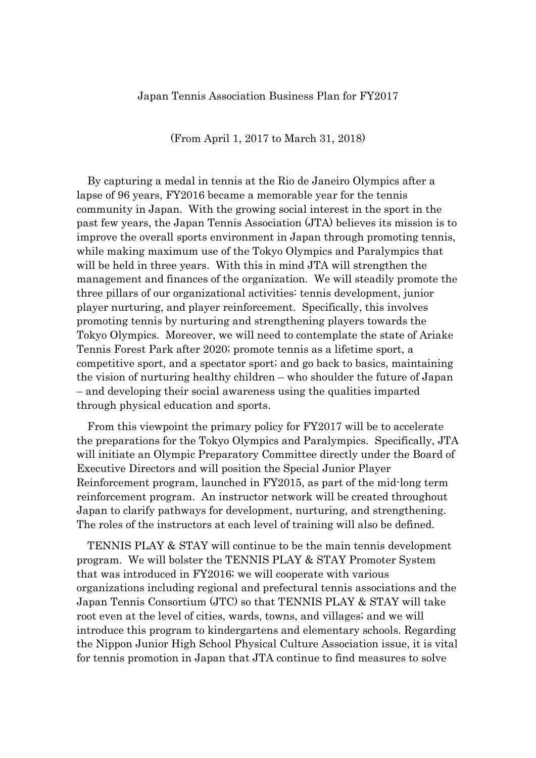(From April 1, 2017 to March 31, 2018)

By capturing a medal in tennis at the Rio de Janeiro Olympics after a lapse of 96 years, FY2016 became a memorable year for the tennis community in Japan. With the growing social interest in the sport in the past few years, the Japan Tennis Association (JTA) believes its mission is to improve the overall sports environment in Japan through promoting tennis, while making maximum use of the Tokyo Olympics and Paralympics that will be held in three years. With this in mind JTA will strengthen the management and finances of the organization. We will steadily promote the three pillars of our organizational activities: tennis development, junior player nurturing, and player reinforcement. Specifically, this involves promoting tennis by nurturing and strengthening players towards the Tokyo Olympics. Moreover, we will need to contemplate the state of Ariake Tennis Forest Park after 2020; promote tennis as a lifetime sport, a competitive sport, and a spectator sport; and go back to basics, maintaining the vision of nurturing healthy children – who shoulder the future of Japan – and developing their social awareness using the qualities imparted through physical education and sports.

From this viewpoint the primary policy for FY2017 will be to accelerate the preparations for the Tokyo Olympics and Paralympics. Specifically, JTA will initiate an Olympic Preparatory Committee directly under the Board of Executive Directors and will position the Special Junior Player Reinforcement program, launched in FY2015, as part of the mid-long term reinforcement program. An instructor network will be created throughout Japan to clarify pathways for development, nurturing, and strengthening. The roles of the instructors at each level of training will also be defined.

TENNIS PLAY & STAY will continue to be the main tennis development program. We will bolster the TENNIS PLAY & STAY Promoter System that was introduced in FY2016; we will cooperate with various organizations including regional and prefectural tennis associations and the Japan Tennis Consortium (JTC) so that TENNIS PLAY & STAY will take root even at the level of cities, wards, towns, and villages; and we will introduce this program to kindergartens and elementary schools. Regarding the Nippon Junior High School Physical Culture Association issue, it is vital for tennis promotion in Japan that JTA continue to find measures to solve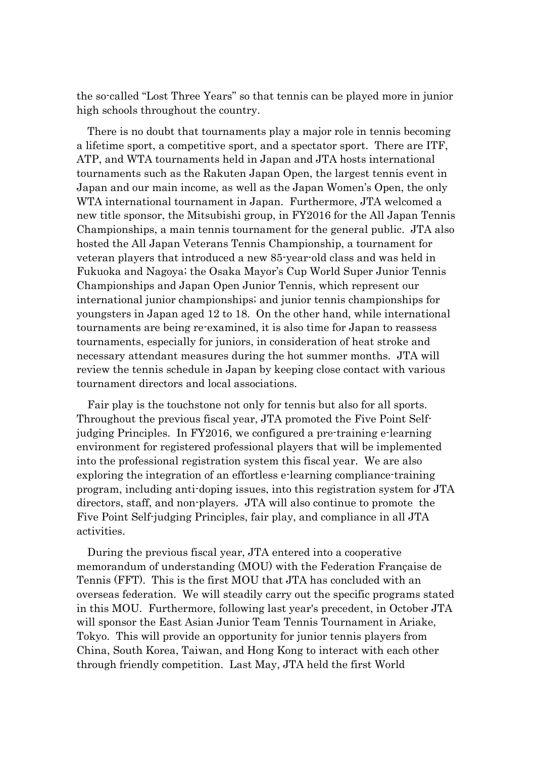the so-called "Lost Three Years" so that tennis can be played more in junior high schools throughout the country.

There is no doubt that tournaments play a major role in tennis becoming a lifetime sport, a competitive sport, and a spectator sport. There are ITF, ATP, and WTA tournaments held in Japan and JTA hosts international tournaments such as the Rakuten Japan Open, the largest tennis event in Japan and our main income, as well as the Japan Women's Open, the only WTA international tournament in Japan. Furthermore, JTA welcomed a new title sponsor, the Mitsubishi group, in FY2016 for the All Japan Tennis Championships, a main tennis tournament for the general public. JTA also hosted the All Japan Veterans Tennis Championship, a tournament for veteran players that introduced a new 85-year-old class and was held in Fukuoka and Nagoya; the Osaka Mayor's Cup World Super Junior Tennis Championships and Japan Open Junior Tennis, which represent our international junior championships; and junior tennis championships for youngsters in Japan aged 12 to 18. On the other hand, while international tournaments are being re-examined, it is also time for Japan to reassess tournaments, especially for juniors, in consideration of heat stroke and necessary attendant measures during the hot summer months. JTA will review the tennis schedule in Japan by keeping close contact with various tournament directors and local associations.

Fair play is the touchstone not only for tennis but also for all sports. Throughout the previous fiscal year, JTA promoted the Five Point Selfjudging Principles. In FY2016, we configured a pre-training e-learning environment for registered professional players that will be implemented into the professional registration system this fiscal year. We are also exploring the integration of an effortless e-learning compliance-training program, including anti-doping issues, into this registration system for JTA directors, staff, and non-players. JTA will also continue to promote the Five Point Self-judging Principles, fair play, and compliance in all JTA activities.

During the previous fiscal year, JTA entered into a cooperative memorandum of understanding (MOU) with the Federation Française de Tennis (FFT). This is the first MOU that JTA has concluded with an overseas federation. We will steadily carry out the specific programs stated in this MOU. Furthermore, following last year's precedent, in October JTA will sponsor the East Asian Junior Team Tennis Tournament in Ariake, Tokyo. This will provide an opportunity for junior tennis players from China, South Korea, Taiwan, and Hong Kong to interact with each other through friendly competition. Last May, JTA held the first World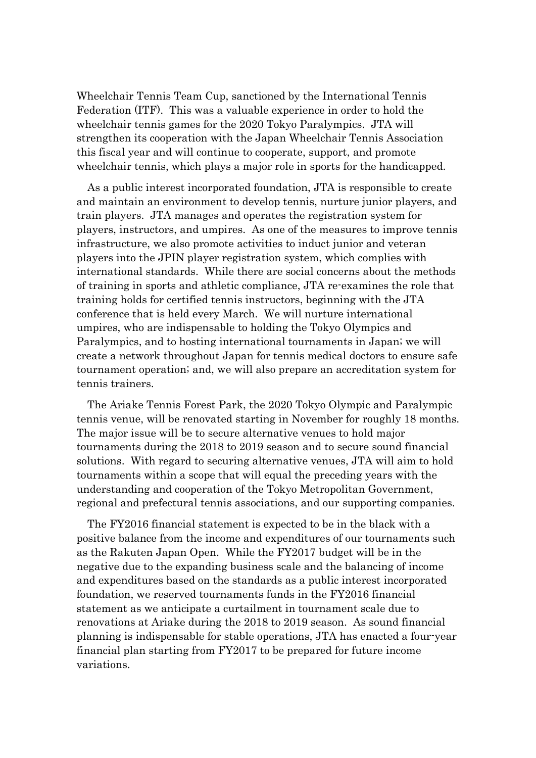Wheelchair Tennis Team Cup, sanctioned by the International Tennis Federation (ITF). This was a valuable experience in order to hold the wheelchair tennis games for the 2020 Tokyo Paralympics. JTA will strengthen its cooperation with the Japan Wheelchair Tennis Association this fiscal year and will continue to cooperate, support, and promote wheelchair tennis, which plays a major role in sports for the handicapped.

As a public interest incorporated foundation, JTA is responsible to create and maintain an environment to develop tennis, nurture junior players, and train players. JTA manages and operates the registration system for players, instructors, and umpires. As one of the measures to improve tennis infrastructure, we also promote activities to induct junior and veteran players into the JPIN player registration system, which complies with international standards. While there are social concerns about the methods of training in sports and athletic compliance, JTA re-examines the role that training holds for certified tennis instructors, beginning with the JTA conference that is held every March. We will nurture international umpires, who are indispensable to holding the Tokyo Olympics and Paralympics, and to hosting international tournaments in Japan; we will create a network throughout Japan for tennis medical doctors to ensure safe tournament operation; and, we will also prepare an accreditation system for tennis trainers.

The Ariake Tennis Forest Park, the 2020 Tokyo Olympic and Paralympic tennis venue, will be renovated starting in November for roughly 18 months. The major issue will be to secure alternative venues to hold major tournaments during the 2018 to 2019 season and to secure sound financial solutions. With regard to securing alternative venues, JTA will aim to hold tournaments within a scope that will equal the preceding years with the understanding and cooperation of the Tokyo Metropolitan Government, regional and prefectural tennis associations, and our supporting companies.

The FY2016 financial statement is expected to be in the black with a positive balance from the income and expenditures of our tournaments such as the Rakuten Japan Open. While the FY2017 budget will be in the negative due to the expanding business scale and the balancing of income and expenditures based on the standards as a public interest incorporated foundation, we reserved tournaments funds in the FY2016 financial statement as we anticipate a curtailment in tournament scale due to renovations at Ariake during the 2018 to 2019 season. As sound financial planning is indispensable for stable operations, JTA has enacted a four-year financial plan starting from FY2017 to be prepared for future income variations.